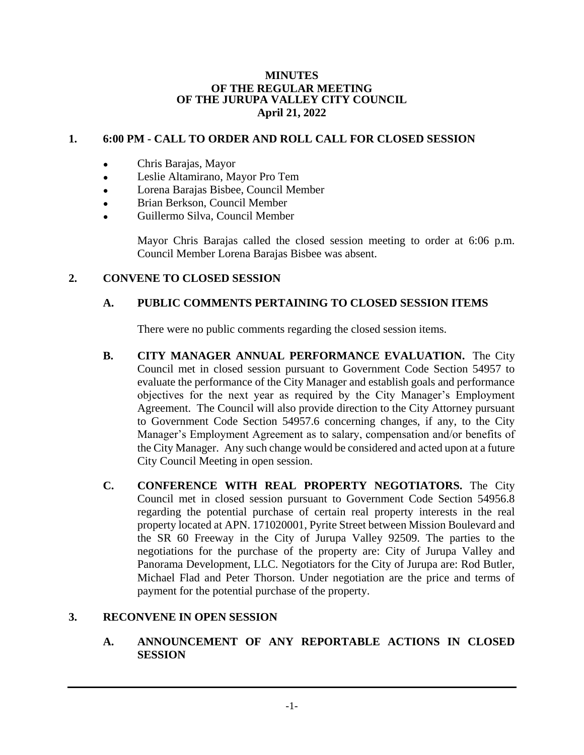#### **MINUTES OF THE REGULAR MEETING OF THE JURUPA VALLEY CITY COUNCIL April 21, 2022**

# **1. 6:00 PM - CALL TO ORDER AND ROLL CALL FOR CLOSED SESSION**

- Chris Barajas, Mayor
- Leslie Altamirano, Mayor Pro Tem
- Lorena Barajas Bisbee, Council Member
- Brian Berkson, Council Member
- Guillermo Silva, Council Member

Mayor Chris Barajas called the closed session meeting to order at 6:06 p.m. Council Member Lorena Barajas Bisbee was absent.

# **2. CONVENE TO CLOSED SESSION**

# **A. PUBLIC COMMENTS PERTAINING TO CLOSED SESSION ITEMS**

There were no public comments regarding the closed session items.

- **B. CITY MANAGER ANNUAL PERFORMANCE EVALUATION.** The City Council met in closed session pursuant to Government Code Section 54957 to evaluate the performance of the City Manager and establish goals and performance objectives for the next year as required by the City Manager's Employment Agreement. The Council will also provide direction to the City Attorney pursuant to Government Code Section 54957.6 concerning changes, if any, to the City Manager's Employment Agreement as to salary, compensation and/or benefits of the City Manager. Any such change would be considered and acted upon at a future City Council Meeting in open session.
- **C. CONFERENCE WITH REAL PROPERTY NEGOTIATORS.** The City Council met in closed session pursuant to Government Code Section 54956.8 regarding the potential purchase of certain real property interests in the real property located at APN. 171020001, Pyrite Street between Mission Boulevard and the SR 60 Freeway in the City of Jurupa Valley 92509. The parties to the negotiations for the purchase of the property are: City of Jurupa Valley and Panorama Development, LLC. Negotiators for the City of Jurupa are: Rod Butler, Michael Flad and Peter Thorson. Under negotiation are the price and terms of payment for the potential purchase of the property.

## **3. RECONVENE IN OPEN SESSION**

**A. ANNOUNCEMENT OF ANY REPORTABLE ACTIONS IN CLOSED SESSION**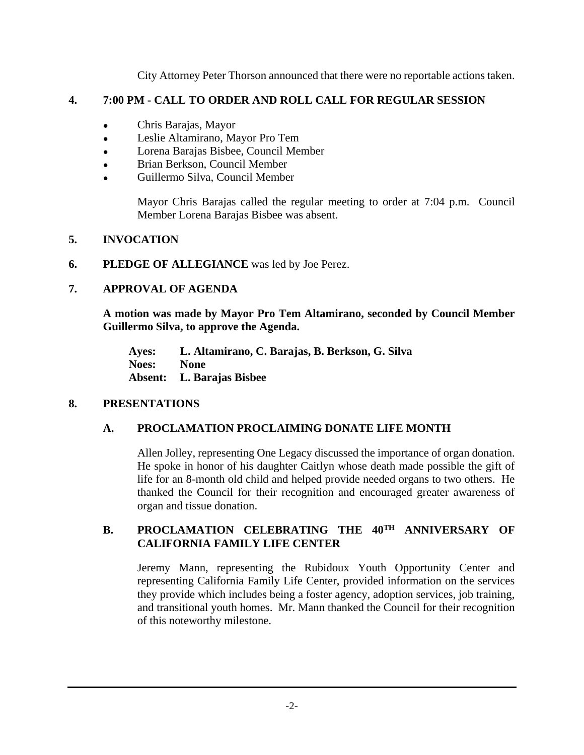City Attorney Peter Thorson announced that there were no reportable actions taken.

## **4. 7:00 PM - CALL TO ORDER AND ROLL CALL FOR REGULAR SESSION**

- Chris Barajas, Mayor
- Leslie Altamirano, Mayor Pro Tem
- Lorena Barajas Bisbee, Council Member
- Brian Berkson, Council Member
- Guillermo Silva, Council Member

Mayor Chris Barajas called the regular meeting to order at 7:04 p.m. Council Member Lorena Barajas Bisbee was absent.

# **5. INVOCATION**

**6. PLEDGE OF ALLEGIANCE** was led by Joe Perez.

# **7. APPROVAL OF AGENDA**

**A motion was made by Mayor Pro Tem Altamirano, seconded by Council Member Guillermo Silva, to approve the Agenda.**

**Ayes: L. Altamirano, C. Barajas, B. Berkson, G. Silva Noes: None Absent: L. Barajas Bisbee**

## **8. PRESENTATIONS**

# **A. PROCLAMATION PROCLAIMING DONATE LIFE MONTH**

Allen Jolley, representing One Legacy discussed the importance of organ donation. He spoke in honor of his daughter Caitlyn whose death made possible the gift of life for an 8-month old child and helped provide needed organs to two others. He thanked the Council for their recognition and encouraged greater awareness of organ and tissue donation.

## **B. PROCLAMATION CELEBRATING THE 40TH ANNIVERSARY OF CALIFORNIA FAMILY LIFE CENTER**

Jeremy Mann, representing the Rubidoux Youth Opportunity Center and representing California Family Life Center, provided information on the services they provide which includes being a foster agency, adoption services, job training, and transitional youth homes. Mr. Mann thanked the Council for their recognition of this noteworthy milestone.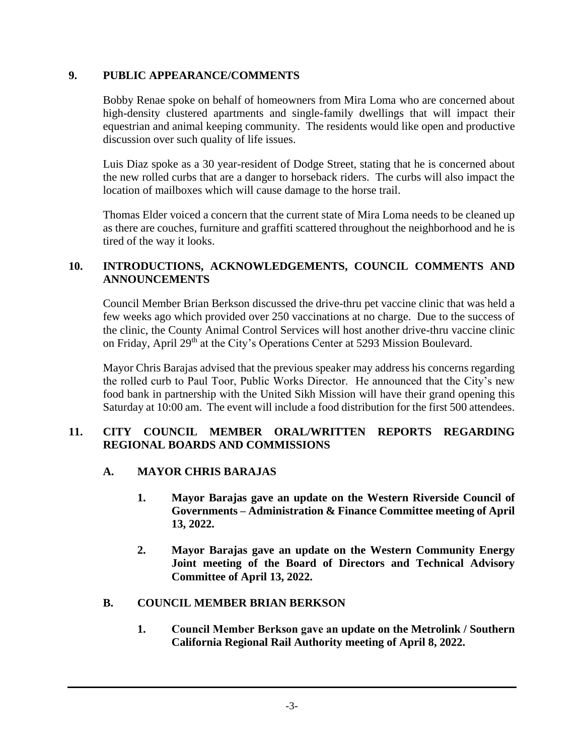## **9. PUBLIC APPEARANCE/COMMENTS**

Bobby Renae spoke on behalf of homeowners from Mira Loma who are concerned about high-density clustered apartments and single-family dwellings that will impact their equestrian and animal keeping community. The residents would like open and productive discussion over such quality of life issues.

Luis Diaz spoke as a 30 year-resident of Dodge Street, stating that he is concerned about the new rolled curbs that are a danger to horseback riders. The curbs will also impact the location of mailboxes which will cause damage to the horse trail.

Thomas Elder voiced a concern that the current state of Mira Loma needs to be cleaned up as there are couches, furniture and graffiti scattered throughout the neighborhood and he is tired of the way it looks.

# **10. INTRODUCTIONS, ACKNOWLEDGEMENTS, COUNCIL COMMENTS AND ANNOUNCEMENTS**

Council Member Brian Berkson discussed the drive-thru pet vaccine clinic that was held a few weeks ago which provided over 250 vaccinations at no charge. Due to the success of the clinic, the County Animal Control Services will host another drive-thru vaccine clinic on Friday, April 29<sup>th</sup> at the City's Operations Center at 5293 Mission Boulevard.

Mayor Chris Barajas advised that the previous speaker may address his concerns regarding the rolled curb to Paul Toor, Public Works Director. He announced that the City's new food bank in partnership with the United Sikh Mission will have their grand opening this Saturday at 10:00 am. The event will include a food distribution for the first 500 attendees.

# **11. CITY COUNCIL MEMBER ORAL/WRITTEN REPORTS REGARDING REGIONAL BOARDS AND COMMISSIONS**

- **A. MAYOR CHRIS BARAJAS**
	- **1. Mayor Barajas gave an update on the Western Riverside Council of Governments – Administration & Finance Committee meeting of April 13, 2022.**
	- **2. Mayor Barajas gave an update on the Western Community Energy Joint meeting of the Board of Directors and Technical Advisory Committee of April 13, 2022.**

## **B. COUNCIL MEMBER BRIAN BERKSON**

**1. Council Member Berkson gave an update on the Metrolink / Southern California Regional Rail Authority meeting of April 8, 2022.**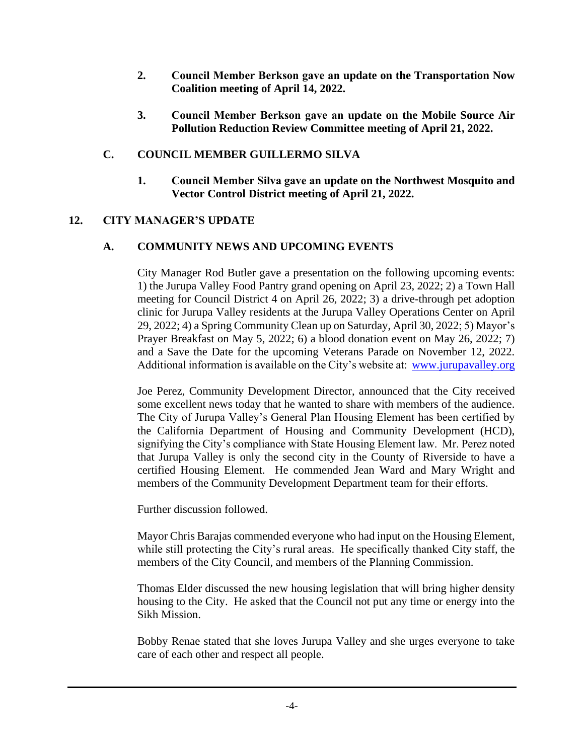- **2. Council Member Berkson gave an update on the Transportation Now Coalition meeting of April 14, 2022.**
- **3. Council Member Berkson gave an update on the Mobile Source Air Pollution Reduction Review Committee meeting of April 21, 2022.**

#### **C. COUNCIL MEMBER GUILLERMO SILVA**

**1. Council Member Silva gave an update on the Northwest Mosquito and Vector Control District meeting of April 21, 2022.**

#### **12. CITY MANAGER'S UPDATE**

#### **A. COMMUNITY NEWS AND UPCOMING EVENTS**

City Manager Rod Butler gave a presentation on the following upcoming events: 1) the Jurupa Valley Food Pantry grand opening on April 23, 2022; 2) a Town Hall meeting for Council District 4 on April 26, 2022; 3) a drive-through pet adoption clinic for Jurupa Valley residents at the Jurupa Valley Operations Center on April 29, 2022; 4) a Spring Community Clean up on Saturday, April 30, 2022; 5) Mayor's Prayer Breakfast on May 5, 2022; 6) a blood donation event on May 26, 2022; 7) and a Save the Date for the upcoming Veterans Parade on November 12, 2022. Additional information is available on the City's website at: [www.jurupavalley.org](http://www.jurupavalley.org/)

Joe Perez, Community Development Director, announced that the City received some excellent news today that he wanted to share with members of the audience. The City of Jurupa Valley's General Plan Housing Element has been certified by the California Department of Housing and Community Development (HCD), signifying the City's compliance with State Housing Element law. Mr. Perez noted that Jurupa Valley is only the second city in the County of Riverside to have a certified Housing Element. He commended Jean Ward and Mary Wright and members of the Community Development Department team for their efforts.

Further discussion followed.

Mayor Chris Barajas commended everyone who had input on the Housing Element, while still protecting the City's rural areas. He specifically thanked City staff, the members of the City Council, and members of the Planning Commission.

Thomas Elder discussed the new housing legislation that will bring higher density housing to the City. He asked that the Council not put any time or energy into the Sikh Mission.

Bobby Renae stated that she loves Jurupa Valley and she urges everyone to take care of each other and respect all people.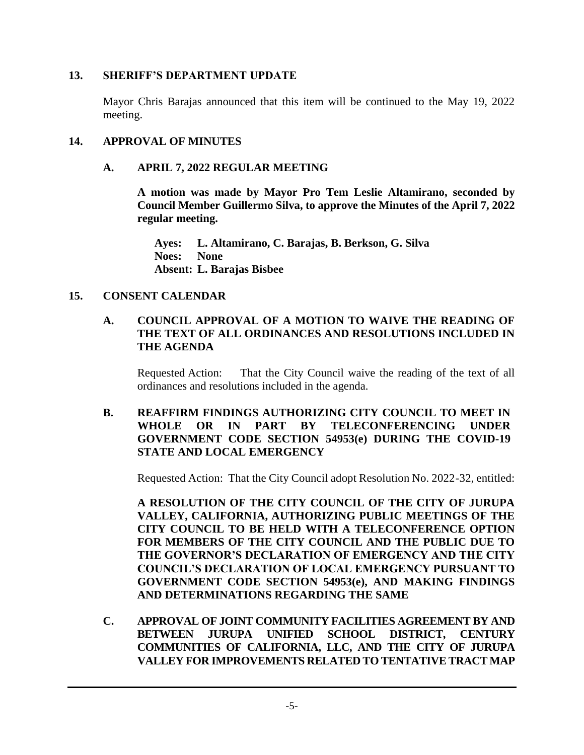#### **13. SHERIFF'S DEPARTMENT UPDATE**

Mayor Chris Barajas announced that this item will be continued to the May 19, 2022 meeting.

#### **14. APPROVAL OF MINUTES**

#### **A. APRIL 7, 2022 REGULAR MEETING**

**A motion was made by Mayor Pro Tem Leslie Altamirano, seconded by Council Member Guillermo Silva, to approve the Minutes of the April 7, 2022 regular meeting.**

**Ayes: L. Altamirano, C. Barajas, B. Berkson, G. Silva Noes: None Absent: L. Barajas Bisbee**

#### **15. CONSENT CALENDAR**

## **A. COUNCIL APPROVAL OF A MOTION TO WAIVE THE READING OF THE TEXT OF ALL ORDINANCES AND RESOLUTIONS INCLUDED IN THE AGENDA**

Requested Action: That the City Council waive the reading of the text of all ordinances and resolutions included in the agenda.

#### **B. REAFFIRM FINDINGS AUTHORIZING CITY COUNCIL TO MEET IN WHOLE OR IN PART BY TELECONFERENCING UNDER GOVERNMENT CODE SECTION 54953(e) DURING THE COVID-19 STATE AND LOCAL EMERGENCY**

Requested Action: That the City Council adopt Resolution No. 2022-32, entitled:

**A RESOLUTION OF THE CITY COUNCIL OF THE CITY OF JURUPA VALLEY, CALIFORNIA, AUTHORIZING PUBLIC MEETINGS OF THE CITY COUNCIL TO BE HELD WITH A TELECONFERENCE OPTION FOR MEMBERS OF THE CITY COUNCIL AND THE PUBLIC DUE TO THE GOVERNOR'S DECLARATION OF EMERGENCY AND THE CITY COUNCIL'S DECLARATION OF LOCAL EMERGENCY PURSUANT TO GOVERNMENT CODE SECTION 54953(e), AND MAKING FINDINGS AND DETERMINATIONS REGARDING THE SAME**

**C. APPROVAL OF JOINT COMMUNITY FACILITIES AGREEMENT BY AND BETWEEN JURUPA UNIFIED SCHOOL DISTRICT, CENTURY COMMUNITIES OF CALIFORNIA, LLC, AND THE CITY OF JURUPA VALLEY FOR IMPROVEMENTS RELATED TO TENTATIVE TRACT MAP**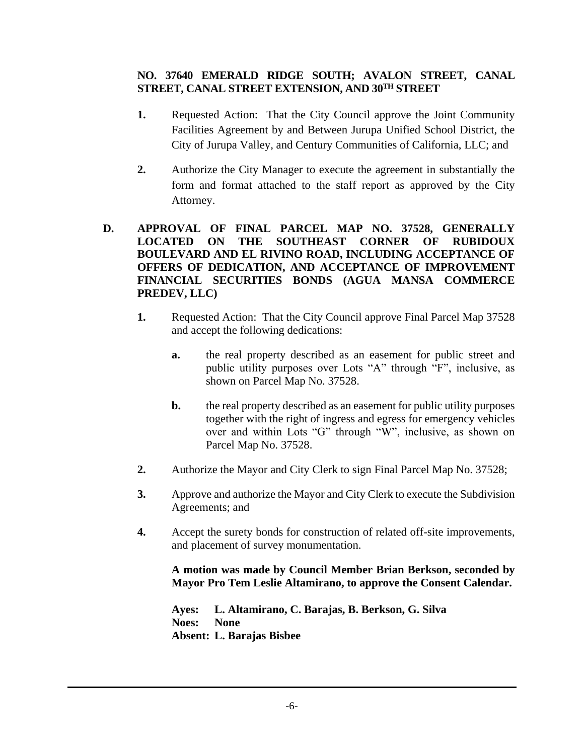## **NO. 37640 EMERALD RIDGE SOUTH; AVALON STREET, CANAL STREET, CANAL STREET EXTENSION, AND 30TH STREET**

- **1.** Requested Action: That the City Council approve the Joint Community Facilities Agreement by and Between Jurupa Unified School District, the City of Jurupa Valley, and Century Communities of California, LLC; and
- **2.** Authorize the City Manager to execute the agreement in substantially the form and format attached to the staff report as approved by the City Attorney.

## **D. APPROVAL OF FINAL PARCEL MAP NO. 37528, GENERALLY LOCATED ON THE SOUTHEAST CORNER OF RUBIDOUX BOULEVARD AND EL RIVINO ROAD, INCLUDING ACCEPTANCE OF OFFERS OF DEDICATION, AND ACCEPTANCE OF IMPROVEMENT FINANCIAL SECURITIES BONDS (AGUA MANSA COMMERCE PREDEV, LLC)**

- **1.** Requested Action: That the City Council approve Final Parcel Map 37528 and accept the following dedications:
	- **a.** the real property described as an easement for public street and public utility purposes over Lots "A" through "F", inclusive, as shown on Parcel Map No. 37528.
	- **b.** the real property described as an easement for public utility purposes together with the right of ingress and egress for emergency vehicles over and within Lots "G" through "W", inclusive, as shown on Parcel Map No. 37528.
- **2.** Authorize the Mayor and City Clerk to sign Final Parcel Map No. 37528;
- **3.** Approve and authorize the Mayor and City Clerk to execute the Subdivision Agreements; and
- **4.** Accept the surety bonds for construction of related off-site improvements, and placement of survey monumentation.

**A motion was made by Council Member Brian Berkson, seconded by Mayor Pro Tem Leslie Altamirano, to approve the Consent Calendar.**

**Ayes: L. Altamirano, C. Barajas, B. Berkson, G. Silva Noes: None Absent: L. Barajas Bisbee**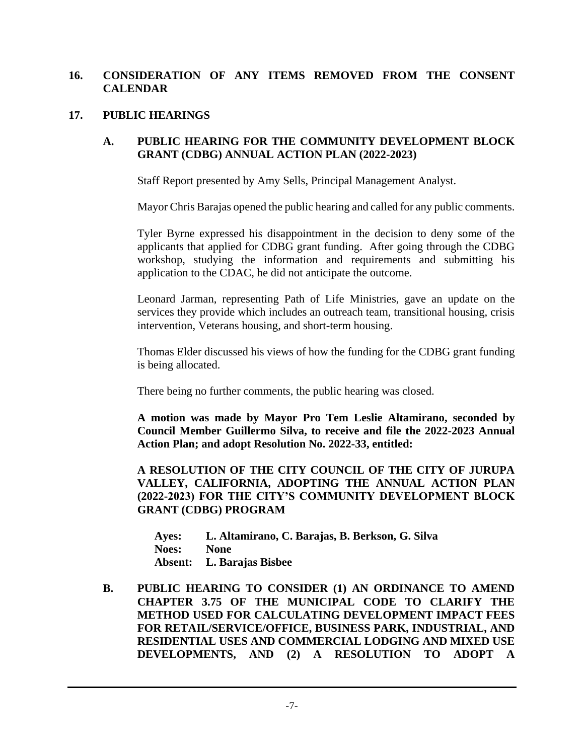## **16. CONSIDERATION OF ANY ITEMS REMOVED FROM THE CONSENT CALENDAR**

#### **17. PUBLIC HEARINGS**

#### **A. PUBLIC HEARING FOR THE COMMUNITY DEVELOPMENT BLOCK GRANT (CDBG) ANNUAL ACTION PLAN (2022-2023)**

Staff Report presented by Amy Sells, Principal Management Analyst.

Mayor Chris Barajas opened the public hearing and called for any public comments.

Tyler Byrne expressed his disappointment in the decision to deny some of the applicants that applied for CDBG grant funding. After going through the CDBG workshop, studying the information and requirements and submitting his application to the CDAC, he did not anticipate the outcome.

Leonard Jarman, representing Path of Life Ministries, gave an update on the services they provide which includes an outreach team, transitional housing, crisis intervention, Veterans housing, and short-term housing.

Thomas Elder discussed his views of how the funding for the CDBG grant funding is being allocated.

There being no further comments, the public hearing was closed.

**A motion was made by Mayor Pro Tem Leslie Altamirano, seconded by Council Member Guillermo Silva, to receive and file the 2022-2023 Annual Action Plan; and adopt Resolution No. 2022-33, entitled:**

**A RESOLUTION OF THE CITY COUNCIL OF THE CITY OF JURUPA VALLEY, CALIFORNIA, ADOPTING THE ANNUAL ACTION PLAN (2022-2023) FOR THE CITY'S COMMUNITY DEVELOPMENT BLOCK GRANT (CDBG) PROGRAM**

| Ayes:        | L. Altamirano, C. Barajas, B. Berkson, G. Silva |
|--------------|-------------------------------------------------|
| <b>Noes:</b> | <b>None</b>                                     |
|              | Absent: L. Barajas Bisbee                       |

**B. PUBLIC HEARING TO CONSIDER (1) AN ORDINANCE TO AMEND CHAPTER 3.75 OF THE MUNICIPAL CODE TO CLARIFY THE METHOD USED FOR CALCULATING DEVELOPMENT IMPACT FEES FOR RETAIL/SERVICE/OFFICE, BUSINESS PARK, INDUSTRIAL, AND RESIDENTIAL USES AND COMMERCIAL LODGING AND MIXED USE DEVELOPMENTS, AND (2) A RESOLUTION TO ADOPT A**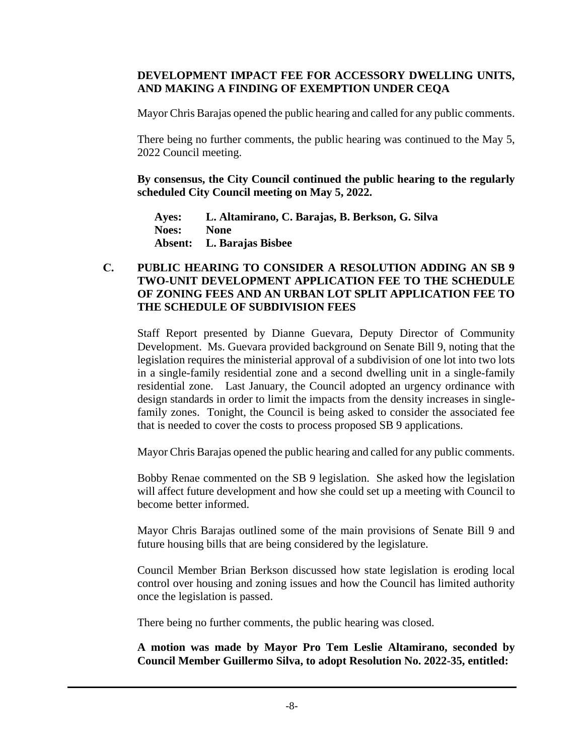#### **DEVELOPMENT IMPACT FEE FOR ACCESSORY DWELLING UNITS, AND MAKING A FINDING OF EXEMPTION UNDER CEQA**

Mayor Chris Barajas opened the public hearing and called for any public comments.

There being no further comments, the public hearing was continued to the May 5, 2022 Council meeting.

**By consensus, the City Council continued the public hearing to the regularly scheduled City Council meeting on May 5, 2022.** 

**Ayes: L. Altamirano, C. Barajas, B. Berkson, G. Silva Noes: None Absent: L. Barajas Bisbee**

### **C. PUBLIC HEARING TO CONSIDER A RESOLUTION ADDING AN SB 9 TWO-UNIT DEVELOPMENT APPLICATION FEE TO THE SCHEDULE OF ZONING FEES AND AN URBAN LOT SPLIT APPLICATION FEE TO THE SCHEDULE OF SUBDIVISION FEES**

Staff Report presented by Dianne Guevara, Deputy Director of Community Development. Ms. Guevara provided background on Senate Bill 9, noting that the legislation requires the ministerial approval of a subdivision of one lot into two lots in a single-family residential zone and a second dwelling unit in a single-family residential zone. Last January, the Council adopted an urgency ordinance with design standards in order to limit the impacts from the density increases in singlefamily zones. Tonight, the Council is being asked to consider the associated fee that is needed to cover the costs to process proposed SB 9 applications.

Mayor Chris Barajas opened the public hearing and called for any public comments.

Bobby Renae commented on the SB 9 legislation. She asked how the legislation will affect future development and how she could set up a meeting with Council to become better informed.

Mayor Chris Barajas outlined some of the main provisions of Senate Bill 9 and future housing bills that are being considered by the legislature.

Council Member Brian Berkson discussed how state legislation is eroding local control over housing and zoning issues and how the Council has limited authority once the legislation is passed.

There being no further comments, the public hearing was closed.

**A motion was made by Mayor Pro Tem Leslie Altamirano, seconded by Council Member Guillermo Silva, to adopt Resolution No. 2022-35, entitled:**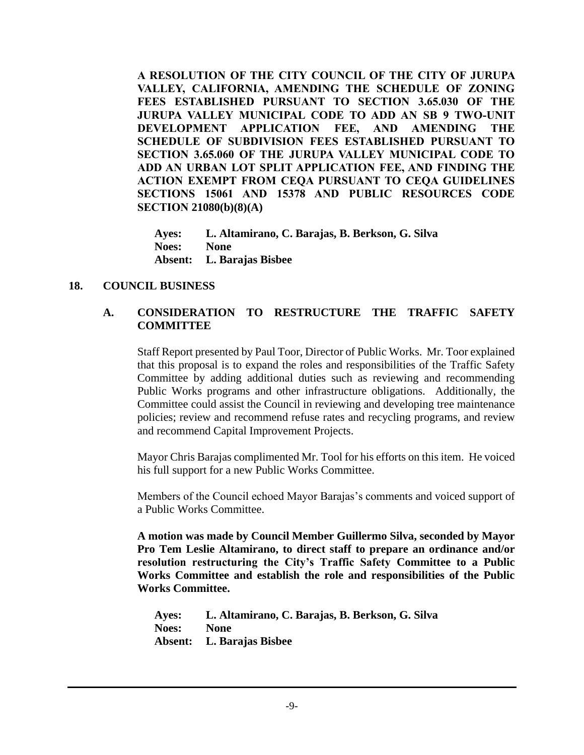**A RESOLUTION OF THE CITY COUNCIL OF THE CITY OF JURUPA VALLEY, CALIFORNIA, AMENDING THE SCHEDULE OF ZONING FEES ESTABLISHED PURSUANT TO SECTION 3.65.030 OF THE JURUPA VALLEY MUNICIPAL CODE TO ADD AN SB 9 TWO-UNIT DEVELOPMENT APPLICATION FEE, AND AMENDING THE SCHEDULE OF SUBDIVISION FEES ESTABLISHED PURSUANT TO SECTION 3.65.060 OF THE JURUPA VALLEY MUNICIPAL CODE TO ADD AN URBAN LOT SPLIT APPLICATION FEE, AND FINDING THE ACTION EXEMPT FROM CEQA PURSUANT TO CEQA GUIDELINES SECTIONS 15061 AND 15378 AND PUBLIC RESOURCES CODE SECTION 21080(b)(8)(A)**

**Ayes: L. Altamirano, C. Barajas, B. Berkson, G. Silva Noes: None Absent: L. Barajas Bisbee**

#### **18. COUNCIL BUSINESS**

## **A. CONSIDERATION TO RESTRUCTURE THE TRAFFIC SAFETY COMMITTEE**

Staff Report presented by Paul Toor, Director of Public Works. Mr. Toor explained that this proposal is to expand the roles and responsibilities of the Traffic Safety Committee by adding additional duties such as reviewing and recommending Public Works programs and other infrastructure obligations. Additionally, the Committee could assist the Council in reviewing and developing tree maintenance policies; review and recommend refuse rates and recycling programs, and review and recommend Capital Improvement Projects.

Mayor Chris Barajas complimented Mr. Tool for his efforts on this item. He voiced his full support for a new Public Works Committee.

Members of the Council echoed Mayor Barajas's comments and voiced support of a Public Works Committee.

**A motion was made by Council Member Guillermo Silva, seconded by Mayor Pro Tem Leslie Altamirano, to direct staff to prepare an ordinance and/or resolution restructuring the City's Traffic Safety Committee to a Public Works Committee and establish the role and responsibilities of the Public Works Committee.**

**Ayes: L. Altamirano, C. Barajas, B. Berkson, G. Silva Noes: None Absent: L. Barajas Bisbee**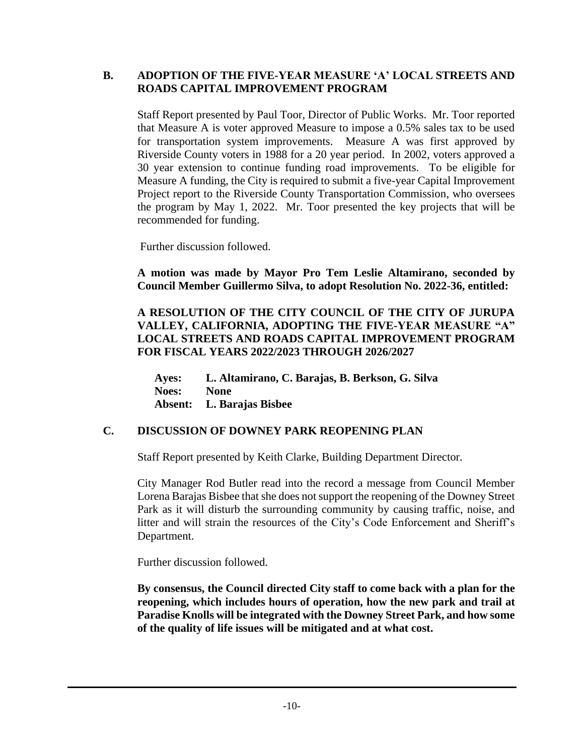## **B. ADOPTION OF THE FIVE-YEAR MEASURE 'A' LOCAL STREETS AND ROADS CAPITAL IMPROVEMENT PROGRAM**

Staff Report presented by Paul Toor, Director of Public Works. Mr. Toor reported that Measure A is voter approved Measure to impose a 0.5% sales tax to be used for transportation system improvements. Measure A was first approved by Riverside County voters in 1988 for a 20 year period. In 2002, voters approved a 30 year extension to continue funding road improvements. To be eligible for Measure A funding, the City is required to submit a five-year Capital Improvement Project report to the Riverside County Transportation Commission, who oversees the program by May 1, 2022. Mr. Toor presented the key projects that will be recommended for funding.

Further discussion followed.

**A motion was made by Mayor Pro Tem Leslie Altamirano, seconded by Council Member Guillermo Silva, to adopt Resolution No. 2022-36, entitled:**

**A RESOLUTION OF THE CITY COUNCIL OF THE CITY OF JURUPA VALLEY, CALIFORNIA, ADOPTING THE FIVE-YEAR MEASURE "A" LOCAL STREETS AND ROADS CAPITAL IMPROVEMENT PROGRAM FOR FISCAL YEARS 2022/2023 THROUGH 2026/2027**

**Ayes: L. Altamirano, C. Barajas, B. Berkson, G. Silva Noes: None Absent: L. Barajas Bisbee**

## **C. DISCUSSION OF DOWNEY PARK REOPENING PLAN**

Staff Report presented by Keith Clarke, Building Department Director.

City Manager Rod Butler read into the record a message from Council Member Lorena Barajas Bisbee that she does not support the reopening of the Downey Street Park as it will disturb the surrounding community by causing traffic, noise, and litter and will strain the resources of the City's Code Enforcement and Sheriff's Department.

Further discussion followed.

**By consensus, the Council directed City staff to come back with a plan for the reopening, which includes hours of operation, how the new park and trail at Paradise Knolls will be integrated with the Downey Street Park, and how some of the quality of life issues will be mitigated and at what cost.**